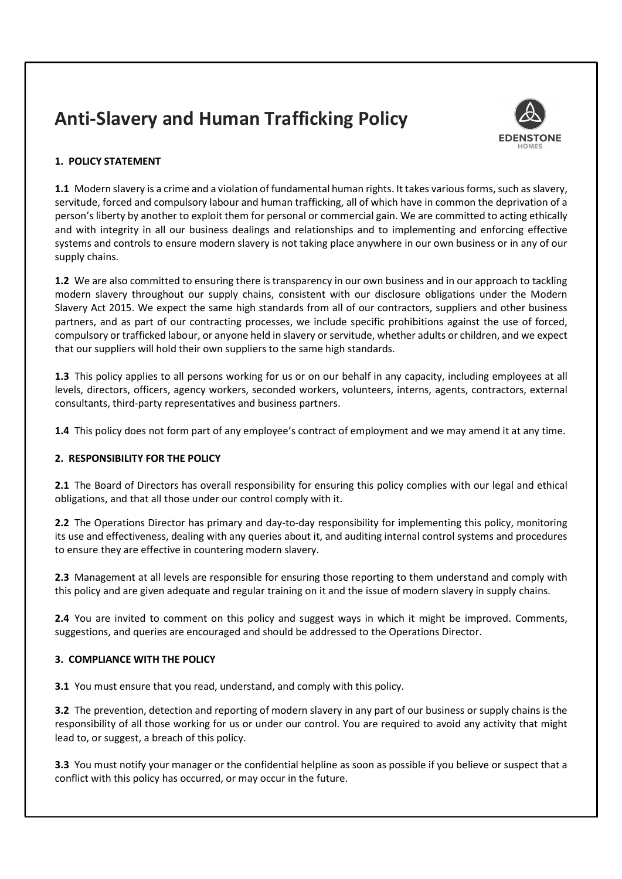# Anti-Slavery and Human Trafficking Policy



## 1. POLICY STATEMENT

1.1 Modern slavery is a crime and a violation of fundamental human rights. It takes various forms, such as slavery, servitude, forced and compulsory labour and human trafficking, all of which have in common the deprivation of a person's liberty by another to exploit them for personal or commercial gain. We are committed to acting ethically and with integrity in all our business dealings and relationships and to implementing and enforcing effective systems and controls to ensure modern slavery is not taking place anywhere in our own business or in any of our supply chains.

1.2 We are also committed to ensuring there is transparency in our own business and in our approach to tackling modern slavery throughout our supply chains, consistent with our disclosure obligations under the Modern Slavery Act 2015. We expect the same high standards from all of our contractors, suppliers and other business partners, and as part of our contracting processes, we include specific prohibitions against the use of forced, compulsory or trafficked labour, or anyone held in slavery or servitude, whether adults or children, and we expect that our suppliers will hold their own suppliers to the same high standards.

1.3 This policy applies to all persons working for us or on our behalf in any capacity, including employees at all levels, directors, officers, agency workers, seconded workers, volunteers, interns, agents, contractors, external consultants, third-party representatives and business partners.

1.4 This policy does not form part of any employee's contract of employment and we may amend it at any time.

## 2. RESPONSIBILITY FOR THE POLICY

2.1 The Board of Directors has overall responsibility for ensuring this policy complies with our legal and ethical obligations, and that all those under our control comply with it.

2.2 The Operations Director has primary and day-to-day responsibility for implementing this policy, monitoring its use and effectiveness, dealing with any queries about it, and auditing internal control systems and procedures to ensure they are effective in countering modern slavery.

2.3 Management at all levels are responsible for ensuring those reporting to them understand and comply with this policy and are given adequate and regular training on it and the issue of modern slavery in supply chains.

2.4 You are invited to comment on this policy and suggest ways in which it might be improved. Comments, suggestions, and queries are encouraged and should be addressed to the Operations Director.

## 3. COMPLIANCE WITH THE POLICY

3.1 You must ensure that you read, understand, and comply with this policy.

**3.2** The prevention, detection and reporting of modern slavery in any part of our business or supply chains is the responsibility of all those working for us or under our control. You are required to avoid any activity that might lead to, or suggest, a breach of this policy.

3.3 You must notify your manager or the confidential helpline as soon as possible if you believe or suspect that a conflict with this policy has occurred, or may occur in the future.